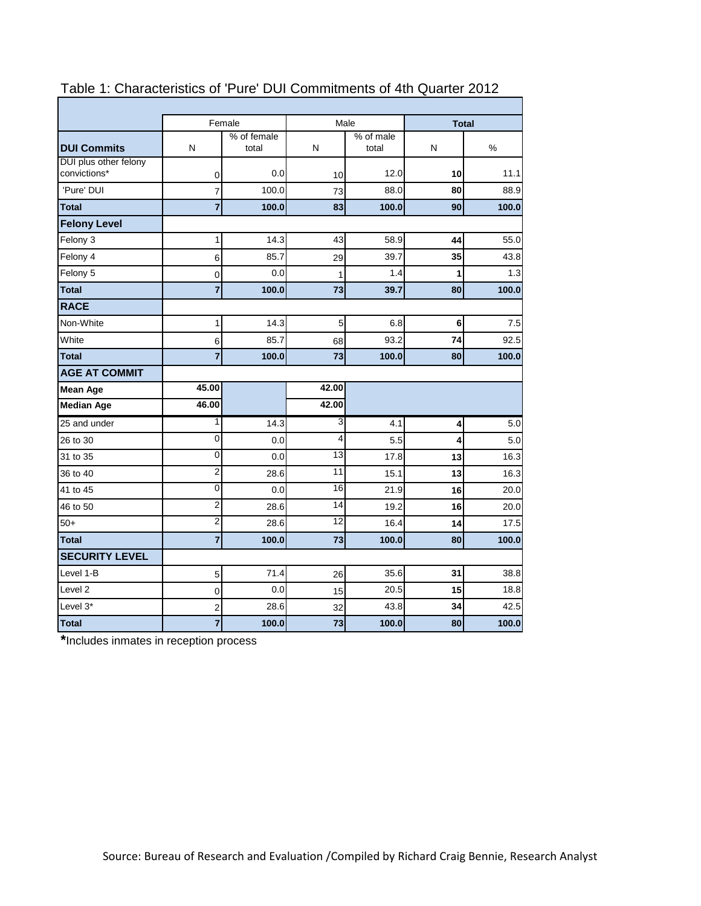|                                       |                         | Female               | Male            |                    | <b>Total</b> |       |  |
|---------------------------------------|-------------------------|----------------------|-----------------|--------------------|--------------|-------|--|
| <b>DUI Commits</b>                    | N                       | % of female<br>total | N               | % of male<br>total | Ν            | $\%$  |  |
| DUI plus other felony<br>convictions* | 0                       | 0.0                  | 10              | 12.0               | 10           | 11.1  |  |
| 'Pure' DUI                            | 7                       | 100.0                | 73              | 88.0               | 80           | 88.9  |  |
| <b>Total</b>                          | $\overline{7}$          | 100.0                | 83              | 100.0              | 90           | 100.0 |  |
| <b>Felony Level</b>                   |                         |                      |                 |                    |              |       |  |
| Felony 3                              | 1                       | 14.3                 | 43              | 58.9               | 44           | 55.0  |  |
| Felony 4                              | 6                       | 85.7                 | 29              | 39.7               | 35           | 43.8  |  |
| Felony 5                              | 0                       | 0.0                  | 1               | 1.4                | 1            | 1.3   |  |
| <b>Total</b>                          | $\overline{7}$          | 100.0                | 73              | 39.7               | 80           | 100.0 |  |
| <b>RACE</b>                           |                         |                      |                 |                    |              |       |  |
| Non-White                             | 1                       | 14.3                 | 5               | 6.8                | 6            | 7.5   |  |
| White                                 | $\,6$                   | 85.7                 | 68              | 93.2               | 74           | 92.5  |  |
| <b>Total</b>                          | $\overline{7}$          | 100.0                | 73              | 100.0              | 80           | 100.0 |  |
| <b>AGE AT COMMIT</b>                  |                         |                      |                 |                    |              |       |  |
| <b>Mean Age</b>                       | 45.00                   |                      | 42.00           |                    |              |       |  |
| <b>Median Age</b>                     | 46.00                   |                      | 42.00           |                    |              |       |  |
| 25 and under                          | 1                       | 14.3                 | 3               | 4.1                | 4            | 5.0   |  |
| 26 to 30                              | 0                       | 0.0                  | 4               | 5.5                | 4            | 5.0   |  |
| 31 to 35                              | 0                       | 0.0                  | $\overline{13}$ | 17.8               | 13           | 16.3  |  |
| 36 to 40                              | $\overline{\mathbf{c}}$ | 28.6                 | 11              | 15.1               | 13           | 16.3  |  |
| 41 to 45                              | 0                       | 0.0                  | 16              | 21.9               | 16           | 20.0  |  |
| 46 to 50                              | $\overline{c}$          | 28.6                 | 14              | 19.2               | 16           | 20.0  |  |
| $50+$                                 | $\overline{2}$          | 28.6                 | 12              | 16.4               | 14           | 17.5  |  |
| <b>Total</b>                          | $\overline{7}$          | 100.0                | 73              | 100.0              | 80           | 100.0 |  |
| <b>SECURITY LEVEL</b>                 |                         |                      |                 |                    |              |       |  |
| Level 1-B                             | $\sqrt{5}$              | 71.4                 | 26              | 35.6               | 31           | 38.8  |  |
| Level <sub>2</sub>                    | 0                       | 0.0                  | 15              | 20.5               | 15           | 18.8  |  |
| Level 3*                              | $\overline{2}$          | 28.6                 | 32              | 43.8               | 34           | 42.5  |  |
| <b>Total</b>                          | 7                       | 100.0                | 73              | 100.0              | 80           | 100.0 |  |

# Table 1: Characteristics of 'Pure' DUI Commitments of 4th Quarter 2012

**\***Includes inmates in reception process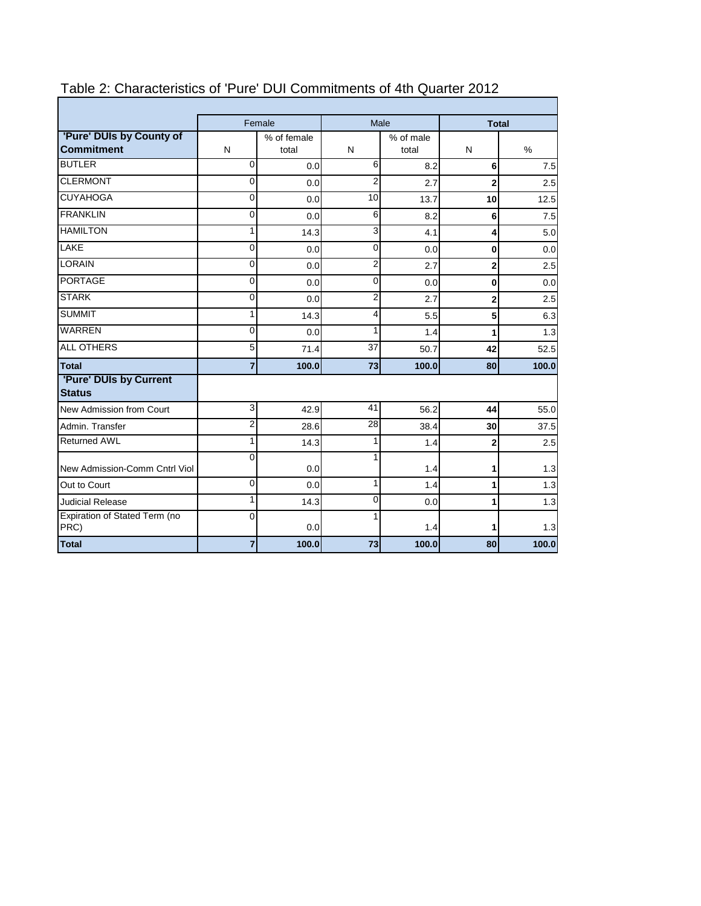|                                               |                | Female               |                         | Male               | <b>Total</b>   |       |  |  |  |  |
|-----------------------------------------------|----------------|----------------------|-------------------------|--------------------|----------------|-------|--|--|--|--|
| 'Pure' DUIs by County of<br><b>Commitment</b> | N              | % of female<br>total | N                       | % of male<br>total | N              | $\%$  |  |  |  |  |
| <b>BUTLER</b>                                 | 0              | 0.0                  | 6                       | 8.2                | 6 <sup>1</sup> | 7.5   |  |  |  |  |
| <b>CLERMONT</b>                               | 0              | 0.0                  | $\overline{2}$          | 2.7                | $\overline{2}$ | 2.5   |  |  |  |  |
| <b>CUYAHOGA</b>                               | 0              | 0.0                  | 10                      | 13.7               | 10             | 12.5  |  |  |  |  |
| <b>FRANKLIN</b>                               | 0              | 0.0                  | 6                       | 8.2                | 6              | 7.5   |  |  |  |  |
| <b>HAMILTON</b>                               | 1              | 14.3                 | 3                       | 4.1                | 4              | 5.0   |  |  |  |  |
| <b>LAKE</b>                                   | 0              | 0.0                  | $\Omega$                | 0.0                | 0              | 0.0   |  |  |  |  |
| <b>LORAIN</b>                                 | 0              | 0.0                  | 2                       | 2.7                | $\overline{2}$ | 2.5   |  |  |  |  |
| <b>PORTAGE</b>                                | $\overline{0}$ | 0.0                  | $\overline{0}$          | 0.0                | 0              | 0.0   |  |  |  |  |
| <b>STARK</b>                                  | $\Omega$       | 0.0                  | $\overline{\mathbf{c}}$ | 2.7                | $\overline{2}$ | 2.5   |  |  |  |  |
| <b>SUMMIT</b>                                 | 1              | 14.3                 | 4                       | 5.5                | 5              | 6.3   |  |  |  |  |
| <b>WARREN</b>                                 | 0              | 0.0                  | 1                       | 1.4                | 1              | 1.3   |  |  |  |  |
| <b>ALL OTHERS</b>                             | 5              | 71.4                 | 37                      | 50.7               | 42             | 52.5  |  |  |  |  |
| <b>Total</b>                                  | $\overline{7}$ | 100.0                | 73                      | 100.0              | 80             | 100.0 |  |  |  |  |
| 'Pure' DUIs by Current<br><b>Status</b>       |                |                      |                         |                    |                |       |  |  |  |  |
| New Admission from Court                      | 3              | 42.9                 | 41                      | 56.2               | 44             | 55.0  |  |  |  |  |
| Admin, Transfer                               | $\overline{2}$ | 28.6                 | 28                      | 38.4               | 30             | 37.5  |  |  |  |  |
| <b>Returned AWL</b>                           | 1              | 14.3                 | 1                       | 1.4                | 2              | 2.5   |  |  |  |  |
| New Admission-Comm Cntrl Viol                 | $\Omega$       | 0.0                  | 1                       | 1.4                | 1              | 1.3   |  |  |  |  |
| Out to Court                                  | $\Omega$       | 0.0                  | 1                       | 1.4                | 1              | 1.3   |  |  |  |  |
| <b>Judicial Release</b>                       | 1              | 14.3                 | 0                       | 0.0                | 1              | 1.3   |  |  |  |  |
| Expiration of Stated Term (no<br>PRC)         | $\Omega$       | 0.0                  | 1                       | 1.4                | 1              | 1.3   |  |  |  |  |
| <b>Total</b>                                  | 7              | 100.0                | 73                      | 100.0              | 80             | 100.0 |  |  |  |  |

# Table 2: Characteristics of 'Pure' DUI Commitments of 4th Quarter 2012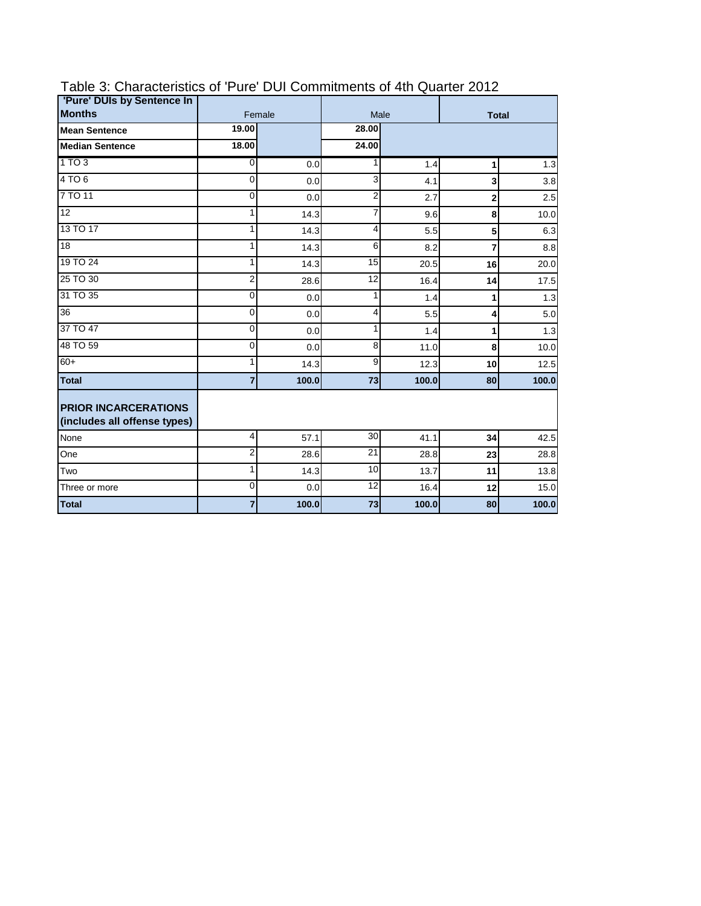| 'Pure' DUIs by Sentence In<br><b>Months</b>                 | Female         |       |                |       |                |       |  |
|-------------------------------------------------------------|----------------|-------|----------------|-------|----------------|-------|--|
|                                                             | 19.00          |       | 28.00          | Male  | <b>Total</b>   |       |  |
| <b>Mean Sentence</b>                                        |                |       |                |       |                |       |  |
| <b>Median Sentence</b>                                      | 18.00          |       | 24.00          |       |                |       |  |
| 1 TO 3                                                      | $\overline{O}$ | 0.0   | 1              | 1.4   | 1              | 1.3   |  |
| 4 TO 6                                                      | 0              | 0.0   | 3              | 4.1   | 3              | 3.8   |  |
| 7 TO 11                                                     | 0              | 0.0   | $\overline{2}$ | 2.7   | $\mathbf{2}$   | 2.5   |  |
| 12                                                          | 1              | 14.3  | $\overline{7}$ | 9.6   | 8              | 10.0  |  |
| 13 TO 17                                                    | 1              | 14.3  | 4              | 5.5   | 5 <sup>1</sup> | 6.3   |  |
| $\overline{18}$                                             | 1              | 14.3  | 6              | 8.2   | 7              | 8.8   |  |
| 19 TO 24                                                    | $\mathbf{1}$   | 14.3  | 15             | 20.5  | 16             | 20.0  |  |
| 25 TO 30                                                    | $\overline{2}$ | 28.6  | 12             | 16.4  | 14             | 17.5  |  |
| 31 TO 35                                                    | 0              | 0.0   | 1              | 1.4   | 1              | 1.3   |  |
| 36                                                          | 0              | 0.0   | 4              | 5.5   | 4              | 5.0   |  |
| 37 TO 47                                                    | 0              | 0.0   | 1              | 1.4   | $\mathbf{1}$   | 1.3   |  |
| 48 TO 59                                                    | 0              | 0.0   | 8              | 11.0  | 8              | 10.0  |  |
| $60+$                                                       | 1              | 14.3  | 9              | 12.3  | 10             | 12.5  |  |
| <b>Total</b>                                                | $\overline{7}$ | 100.0 | 73             | 100.0 | 80             | 100.0 |  |
| <b>PRIOR INCARCERATIONS</b><br>(includes all offense types) |                |       |                |       |                |       |  |
| None                                                        | $\overline{4}$ | 57.1  | 30             | 41.1  | 34             | 42.5  |  |
| One                                                         | $\overline{2}$ | 28.6  | 21             | 28.8  | 23             | 28.8  |  |
| Two                                                         | $\mathbf{1}$   | 14.3  | 10             | 13.7  | 11             | 13.8  |  |
| Three or more                                               | 0              | 0.0   | 12             | 16.4  | 12             | 15.0  |  |
| <b>Total</b>                                                | 7              | 100.0 | 73             | 100.0 | 80             | 100.0 |  |

### Table 3: Characteristics of 'Pure' DUI Commitments of 4th Quarter 2012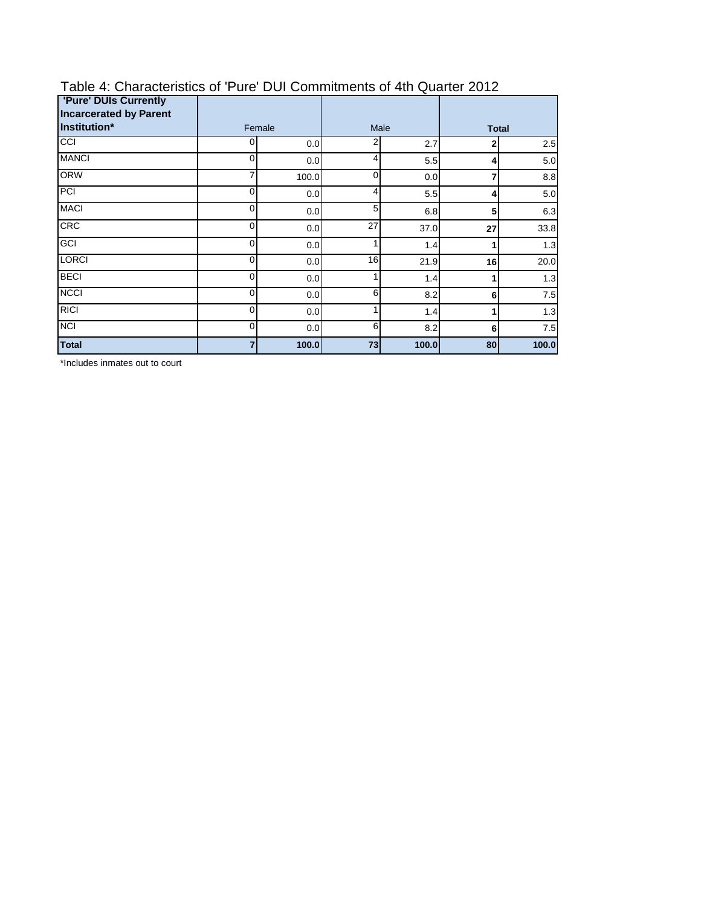| <b>'Pure' DUIs Currently</b><br><b>Incarcerated by Parent</b> |             |          |      |       |              |       |  |
|---------------------------------------------------------------|-------------|----------|------|-------|--------------|-------|--|
| Institution*                                                  |             | Female   | Male |       | <b>Total</b> |       |  |
| CCI                                                           | 0           | 2<br>0.0 |      | 2.7   | 2            | 2.5   |  |
| <b>MANCI</b>                                                  | 0           | 0.0      | 4    | 5.5   | 4            | 5.0   |  |
| <b>ORW</b>                                                    | 7           | 100.0    | 0    | 0.0   | 7            | 8.8   |  |
| PCI                                                           | 0           | 0.0      | 4    | 5.5   | 4            | 5.0   |  |
| <b>MACI</b>                                                   | $\mathbf 0$ | 0.0      | 5    | 6.8   | 5            | 6.3   |  |
| <b>CRC</b>                                                    | 0           | 0.0      | 27   | 37.0  | 27           | 33.8  |  |
| GCI                                                           | $\mathbf 0$ | 0.0      | 1    | 1.4   |              | 1.3   |  |
| <b>LORCI</b>                                                  | 0           | 0.0      | 16   | 21.9  | 16           | 20.0  |  |
| <b>BECI</b>                                                   | 0           | 0.0      | и    | 1.4   |              | 1.3   |  |
| <b>NCCI</b>                                                   | $\mathbf 0$ | 0.0      | 6    | 8.2   | 6            | 7.5   |  |
| <b>RICI</b>                                                   | $\mathbf 0$ | 0.0      | 1    | 1.4   | 1            | 1.3   |  |
| <b>NCI</b>                                                    | 0           | 0.0      | 6    | 8.2   | 6            | 7.5   |  |
| <b>Total</b>                                                  | 7           | 100.0    | 73   | 100.0 | 80           | 100.0 |  |

#### Table 4: Characteristics of 'Pure' DUI Commitments of 4th Quarter 2012

\*Includes inmates out to court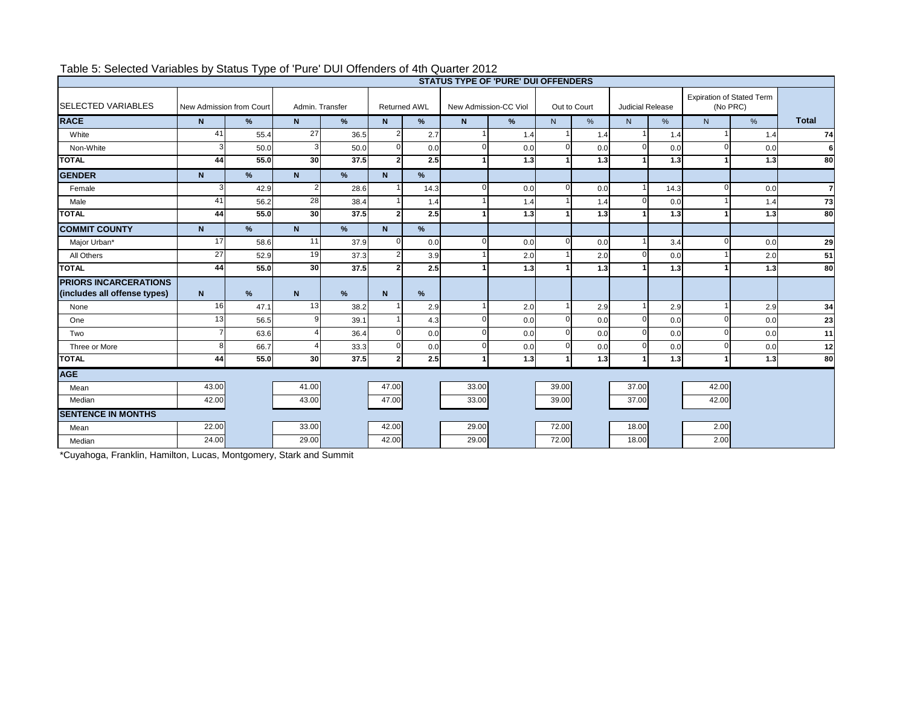| <b>STATUS TYPE OF 'PURE' DUI OFFENDERS</b>                   |                          |      |                 |      |                |                     |                       |     |       |              |                         |       |                      |                                              |                |
|--------------------------------------------------------------|--------------------------|------|-----------------|------|----------------|---------------------|-----------------------|-----|-------|--------------|-------------------------|-------|----------------------|----------------------------------------------|----------------|
| <b>SELECTED VARIABLES</b>                                    | New Admission from Court |      | Admin, Transfer |      |                | <b>Returned AWL</b> | New Admission-CC Viol |     |       | Out to Court | <b>Judicial Release</b> |       |                      | <b>Expiration of Stated Term</b><br>(No PRC) |                |
| <b>RACE</b>                                                  | N                        | %    | N               | %    | N              | $\%$                | N.                    | %   | N     | %            | N                       | $\%$  | N                    | %                                            | <b>Total</b>   |
| White                                                        | 41                       | 55.4 | 27              | 36.5 | 2              | 2.7                 |                       | 1.4 |       | 1.4          |                         | 1.4   |                      | 1.4                                          | 74             |
| Non-White                                                    | З                        | 50.0 |                 | 50.0 | $\Omega$       | 0.0                 | ΩI                    | 0.0 | ∩     | 0.0          | $\Omega$                | 0.0   | $\Omega$             | 0.0                                          | $6 \mid$       |
| <b>TOTAL</b>                                                 | 44                       | 55.0 | 30 <sup>l</sup> | 37.5 | $\overline{2}$ | 2.5                 |                       | 1.3 |       | 1.3          |                         | 1.3   |                      | 1.3                                          | 80             |
| <b>GENDER</b>                                                | N                        | %    | N               | %    | N              | %                   |                       |     |       |              |                         |       |                      |                                              |                |
| Female                                                       | 3                        | 42.9 |                 | 28.6 |                | 14.3                | <sup>0</sup>          | 0.0 | 0     | 0.0          |                         | 14.3  | $\Omega$             | 0.0                                          | $\overline{7}$ |
| Male                                                         | 41                       | 56.2 | 28              | 38.4 |                | 1.4                 |                       | 1.4 |       | 1.4          |                         | 0.0   |                      | 1.4                                          | 73             |
| <b>TOTAL</b>                                                 | 44                       | 55.0 | 30 <sup>1</sup> | 37.5 | $\overline{2}$ | 2.5                 |                       | 1.3 |       | 1.3          |                         | 1.3   | $\blacktriangleleft$ | 1.3                                          | 80             |
| <b>COMMIT COUNTY</b>                                         | N.                       | %    | N               | $\%$ | N              | %                   |                       |     |       |              |                         |       |                      |                                              |                |
| Major Urban*                                                 | 17                       | 58.6 | 11              | 37.9 | n              | 0.0                 | $\Omega$              | 0.0 | ∩     | 0.0          |                         | 3.4   | $\Omega$             | 0.0                                          | 29             |
| All Others                                                   | 27                       | 52.9 | 19              | 37.3 | $\overline{2}$ | 3.9                 |                       | 2.0 |       | 2.0          | $\Omega$                | 0.0   |                      | 2.0                                          | 51             |
| <b>TOTAL</b>                                                 | 44                       | 55.0 | 30 <sup>l</sup> | 37.5 | $\overline{2}$ | 2.5                 |                       | 1.3 |       | 1.3          |                         | $1.3$ | 1                    | 1.3                                          | 80             |
| <b>PRIORS INCARCERATIONS</b><br>(includes all offense types) | N                        | %    | N               | %    | $\mathbf N$    | $\%$                |                       |     |       |              |                         |       |                      |                                              |                |
| None                                                         | 16                       | 47.1 | 13              | 38.2 |                | 2.9                 |                       | 2.0 |       | 2.9          |                         | 2.9   |                      | 2.9                                          | 34             |
| One                                                          | 13                       | 56.5 |                 | 39.1 |                | 4.3                 | $\Omega$              | 0.0 |       | 0.0          | $\Omega$                | 0.0   | $\Omega$             | 0.0                                          | 23             |
| Two                                                          |                          | 63.6 |                 | 36.4 | ∩              | 0.0                 | <sup>n</sup>          | 0.0 |       | 0.0          | $\Omega$                | 0.0   | $\Omega$             | 0.0                                          | 11             |
| Three or More                                                | 8                        | 66.7 |                 | 33.3 | ∩              | 0.0                 | $\Omega$              | 0.0 |       | 0.0          | $\Omega$                | 0.0   | $\Omega$             | 0.0                                          | 12             |
| <b>TOTAL</b>                                                 | 44                       | 55.0 | 30              | 37.5 | $\overline{2}$ | 2.5                 |                       | 1.3 |       | 1.3          |                         | 1.3   | $\blacktriangleleft$ | 1.3                                          | 80             |
| <b>AGE</b>                                                   |                          |      |                 |      |                |                     |                       |     |       |              |                         |       |                      |                                              |                |
| Mean                                                         | 43.00                    |      | 41.00           |      | 47.00          |                     | 33.00                 |     | 39.00 |              | 37.00                   |       | 42.00                |                                              |                |
| Median                                                       | 42.00                    |      | 43.00           |      | 47.00          |                     | 33.00                 |     | 39.00 |              | 37.00                   |       | 42.00                |                                              |                |
| <b>SENTENCE IN MONTHS</b>                                    |                          |      |                 |      |                |                     |                       |     |       |              |                         |       |                      |                                              |                |
| Mean                                                         | 22.00                    |      | 33.00           |      | 42.00          |                     | 29.00                 |     | 72.00 |              | 18.00                   |       | 2.00                 |                                              |                |
| Median                                                       | 24.00                    |      | 29.00           |      | 42.00          |                     | 29.00                 |     | 72.00 |              | 18.00                   |       | 2.00                 |                                              |                |

### Table 5: Selected Variables by Status Type of 'Pure' DUI Offenders of 4th Quarter 2012

\*Cuyahoga, Franklin, Hamilton, Lucas, Montgomery, Stark and Summit